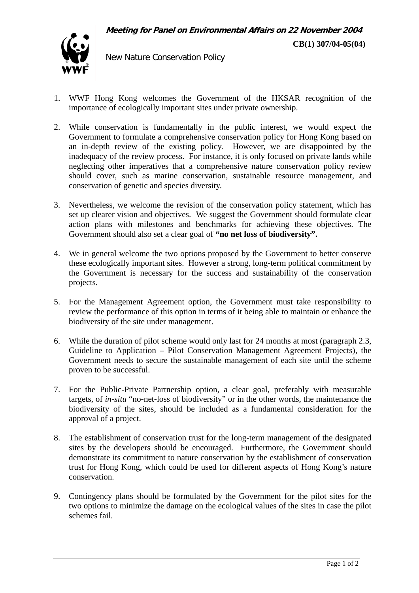**CB(1) 307/04-05(04)**



New Nature Conservation Policy

- 1. WWF Hong Kong welcomes the Government of the HKSAR recognition of the importance of ecologically important sites under private ownership.
- 2. While conservation is fundamentally in the public interest, we would expect the Government to formulate a comprehensive conservation policy for Hong Kong based on an in-depth review of the existing policy. However, we are disappointed by the inadequacy of the review process. For instance, it is only focused on private lands while neglecting other imperatives that a comprehensive nature conservation policy review should cover, such as marine conservation, sustainable resource management, and conservation of genetic and species diversity.
- 3. Nevertheless, we welcome the revision of the conservation policy statement, which has set up clearer vision and objectives. We suggest the Government should formulate clear action plans with milestones and benchmarks for achieving these objectives. The Government should also set a clear goal of **"no net loss of biodiversity".**
- 4. We in general welcome the two options proposed by the Government to better conserve these ecologically important sites. However a strong, long-term political commitment by the Government is necessary for the success and sustainability of the conservation projects.
- 5. For the Management Agreement option, the Government must take responsibility to review the performance of this option in terms of it being able to maintain or enhance the biodiversity of the site under management.
- 6. While the duration of pilot scheme would only last for 24 months at most (paragraph 2.3, Guideline to Application – Pilot Conservation Management Agreement Projects), the Government needs to secure the sustainable management of each site until the scheme proven to be successful.
- 7. For the Public-Private Partnership option, a clear goal, preferably with measurable targets, of *in-situ* "no-net-loss of biodiversity" or in the other words, the maintenance the biodiversity of the sites, should be included as a fundamental consideration for the approval of a project.
- 8. The establishment of conservation trust for the long-term management of the designated sites by the developers should be encouraged. Furthermore, the Government should demonstrate its commitment to nature conservation by the establishment of conservation trust for Hong Kong, which could be used for different aspects of Hong Kong's nature conservation.
- 9. Contingency plans should be formulated by the Government for the pilot sites for the two options to minimize the damage on the ecological values of the sites in case the pilot schemes fail.